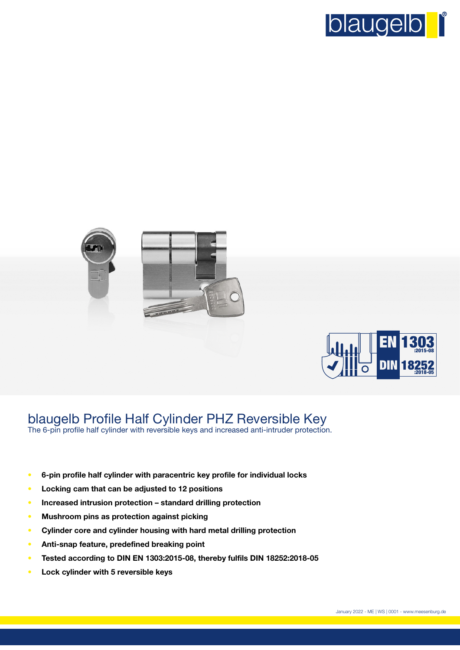





# blaugelb Profile Half Cylinder PHZ Reversible Key

The 6-pin profile half cylinder with reversible keys and increased anti-intruder protection.

- **• 6-pin profile half cylinder with paracentric key profile for individual locks**
- **• Locking cam that can be adjusted to 12 positions**
- **• Increased intrusion protection standard drilling protection**
- **• Mushroom pins as protection against picking**
- **• Cylinder core and cylinder housing with hard metal drilling protection**
- **• Anti-snap feature, predefined breaking point**
- **• Tested according to DIN EN 1303:2015-08, thereby fulfils DIN 18252:2018-05**
- **• Lock cylinder with 5 reversible keys**